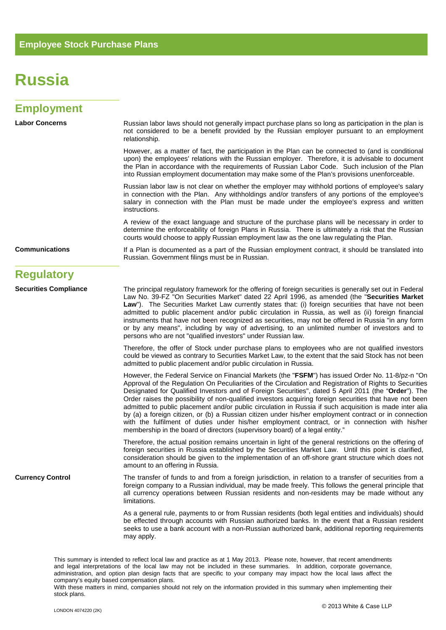## **Russia**

| <b>Employment</b>            |                                                                                                                                                                                                                                                                                                                                                                                                                                                                                                                                                                                                                                                                                              |
|------------------------------|----------------------------------------------------------------------------------------------------------------------------------------------------------------------------------------------------------------------------------------------------------------------------------------------------------------------------------------------------------------------------------------------------------------------------------------------------------------------------------------------------------------------------------------------------------------------------------------------------------------------------------------------------------------------------------------------|
| <b>Labor Concerns</b>        | Russian labor laws should not generally impact purchase plans so long as participation in the plan is<br>not considered to be a benefit provided by the Russian employer pursuant to an employment<br>relationship.                                                                                                                                                                                                                                                                                                                                                                                                                                                                          |
|                              | However, as a matter of fact, the participation in the Plan can be connected to (and is conditional<br>upon) the employees' relations with the Russian employer. Therefore, it is advisable to document<br>the Plan in accordance with the requirements of Russian Labor Code. Such inclusion of the Plan<br>into Russian employment documentation may make some of the Plan's provisions unenforceable.                                                                                                                                                                                                                                                                                     |
|                              | Russian labor law is not clear on whether the employer may withhold portions of employee's salary<br>in connection with the Plan. Any withholdings and/or transfers of any portions of the employee's<br>salary in connection with the Plan must be made under the employee's express and written<br>instructions.                                                                                                                                                                                                                                                                                                                                                                           |
|                              | A review of the exact language and structure of the purchase plans will be necessary in order to<br>determine the enforceability of foreign Plans in Russia. There is ultimately a risk that the Russian<br>courts would choose to apply Russian employment law as the one law regulating the Plan.                                                                                                                                                                                                                                                                                                                                                                                          |
| <b>Communications</b>        | If a Plan is documented as a part of the Russian employment contract, it should be translated into<br>Russian. Government filings must be in Russian.                                                                                                                                                                                                                                                                                                                                                                                                                                                                                                                                        |
| <b>Regulatory</b>            |                                                                                                                                                                                                                                                                                                                                                                                                                                                                                                                                                                                                                                                                                              |
| <b>Securities Compliance</b> | The principal regulatory framework for the offering of foreign securities is generally set out in Federal<br>Law No. 39-FZ "On Securities Market" dated 22 April 1996, as amended (the "Securities Market<br>Law"). The Securities Market Law currently states that: (i) foreign securities that have not been<br>admitted to public placement and/or public circulation in Russia, as well as (ii) foreign financial<br>instruments that have not been recognized as securities, may not be offered in Russia "in any form<br>or by any means", including by way of advertising, to an unlimited number of investors and to<br>persons who are not "qualified investors" under Russian law. |
|                              | Therefore, the offer of Stock under purchase plans to employees who are not qualified investors<br>could be viewed as contrary to Securities Market Law, to the extent that the said Stock has not been<br>admitted to public placement and/or public circulation in Russia.                                                                                                                                                                                                                                                                                                                                                                                                                 |
|                              | However, the Federal Service on Financial Markets (the "FSFM") has issued Order No. 11-8/pz-n "On<br>Approval of the Regulation On Peculiarities of the Circulation and Registration of Rights to Securities<br>Designated for Qualified Investors and of Foreign Securities", dated 5 April 2011 (the "Order"). The<br>Order raises the possibility of non-qualified investors acquiring foreign securities that have not been<br>admitted to public placement and/or public circulation in Russia if such acquisition is made inter alia                                                                                                                                                   |

Therefore, the actual position remains uncertain in light of the general restrictions on the offering of foreign securities in Russia established by the Securities Market Law. Until this point is clarified, consideration should be given to the implementation of an off-shore grant structure which does not amount to an offering in Russia.

by (a) a foreign citizen, or (b) a Russian citizen under his/her employment contract or in connection with the fulfilment of duties under his/her employment contract, or in connection with his/her

**Currency Control** The transfer of funds to and from a foreign jurisdiction, in relation to a transfer of securities from a foreign company to a Russian individual, may be made freely. This follows the general principle that all currency operations between Russian residents and non-residents may be made without any limitations.

membership in the board of directors (supervisory board) of a legal entity."

As a general rule, payments to or from Russian residents (both legal entities and individuals) should be effected through accounts with Russian authorized banks. In the event that a Russian resident seeks to use a bank account with a non-Russian authorized bank, additional reporting requirements may apply.

This summary is intended to reflect local law and practice as at 1 May 2013. Please note, however, that recent amendments and legal interpretations of the local law may not be included in these summaries. In addition, corporate governance, administration, and option plan design facts that are specific to your company may impact how the local laws affect the company's equity based compensation plans.

With these matters in mind, companies should not rely on the information provided in this summary when implementing their stock plans.